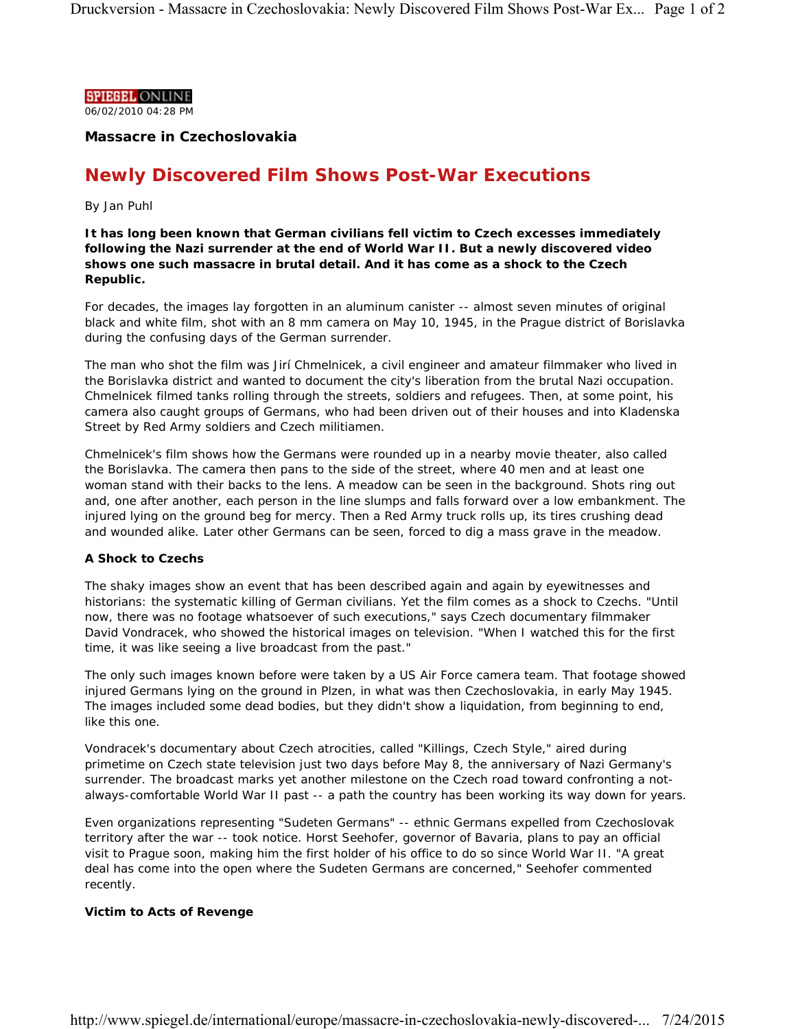**SPIEGEL ONLINE** 

06/02/2010 04:28 PM

**Massacre in Czechoslovakia**

# **Newly Discovered Film Shows Post-War Executions**

## *By Jan Puhl*

**It has long been known that German civilians fell victim to Czech excesses immediately following the Nazi surrender at the end of World War II. But a newly discovered video shows one such massacre in brutal detail. And it has come as a shock to the Czech Republic.**

For decades, the images lay forgotten in an aluminum canister -- almost seven minutes of original black and white film, shot with an 8 mm camera on May 10, 1945, in the Prague district of Borislavka during the confusing days of the German surrender.

The man who shot the film was Jirí Chmelnicek, a civil engineer and amateur filmmaker who lived in the Borislavka district and wanted to document the city's liberation from the brutal Nazi occupation. Chmelnicek filmed tanks rolling through the streets, soldiers and refugees. Then, at some point, his camera also caught groups of Germans, who had been driven out of their houses and into Kladenska Street by Red Army soldiers and Czech militiamen.

Chmelnicek's film shows how the Germans were rounded up in a nearby movie theater, also called the Borislavka. The camera then pans to the side of the street, where 40 men and at least one woman stand with their backs to the lens. A meadow can be seen in the background. Shots ring out and, one after another, each person in the line slumps and falls forward over a low embankment. The injured lying on the ground beg for mercy. Then a Red Army truck rolls up, its tires crushing dead and wounded alike. Later other Germans can be seen, forced to dig a mass grave in the meadow.

## **A Shock to Czechs**

The shaky images show an event that has been described again and again by eyewitnesses and historians: the systematic killing of German civilians. Yet the film comes as a shock to Czechs. "Until now, there was no footage whatsoever of such executions," says Czech documentary filmmaker David Vondracek, who showed the historical images on television. "When I watched this for the first time, it was like seeing a live broadcast from the past."

The only such images known before were taken by a US Air Force camera team. That footage showed injured Germans lying on the ground in Plzen, in what was then Czechoslovakia, in early May 1945. The images included some dead bodies, but they didn't show a liquidation, from beginning to end, like this one.

Vondracek's documentary about Czech atrocities, called "Killings, Czech Style," aired during primetime on Czech state television just two days before May 8, the anniversary of Nazi Germany's surrender. The broadcast marks yet another milestone on the Czech road toward confronting a notalways-comfortable World War II past -- a path the country has been working its way down for years.

Even organizations representing "Sudeten Germans" -- ethnic Germans expelled from Czechoslovak territory after the war -- took notice. Horst Seehofer, governor of Bavaria, plans to pay an official visit to Prague soon, making him the first holder of his office to do so since World War II. "A great deal has come into the open where the Sudeten Germans are concerned," Seehofer commented recently.

## **Victim to Acts of Revenge**